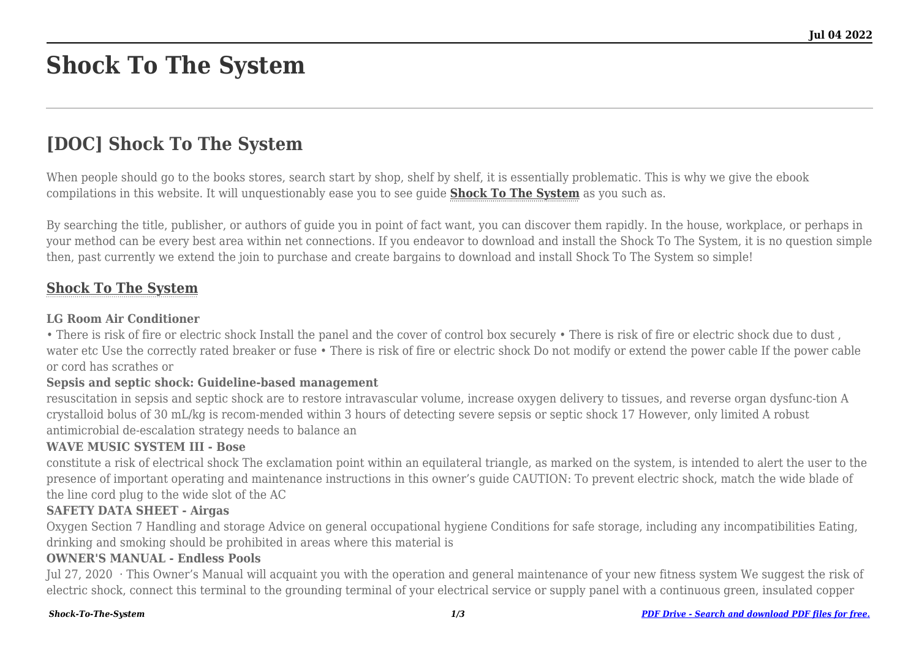# **Shock To The System**

# **[DOC] Shock To The System**

When people should go to the books stores, search start by shop, shelf by shelf, it is essentially problematic. This is why we give the ebook compilations in this website. It will unquestionably ease you to see guide **[Shock To The System](http://thepineapplephilosophy.com)** as you such as.

By searching the title, publisher, or authors of guide you in point of fact want, you can discover them rapidly. In the house, workplace, or perhaps in your method can be every best area within net connections. If you endeavor to download and install the Shock To The System, it is no question simple then, past currently we extend the join to purchase and create bargains to download and install Shock To The System so simple!

# **[Shock To The System](http://thepineapplephilosophy.com/Shock-To-The-System.pdf)**

#### **LG Room Air Conditioner**

• There is risk of fire or electric shock Install the panel and the cover of control box securely • There is risk of fire or electric shock due to dust , water etc Use the correctly rated breaker or fuse • There is risk of fire or electric shock Do not modify or extend the power cable If the power cable or cord has scrathes or

#### **Sepsis and septic shock: Guideline-based management**

resuscitation in sepsis and septic shock are to restore intravascular volume, increase oxygen delivery to tissues, and reverse organ dysfunc-tion A crystalloid bolus of 30 mL/kg is recom-mended within 3 hours of detecting severe sepsis or septic shock 17 However, only limited A robust antimicrobial de-escalation strategy needs to balance an

#### **WAVE MUSIC SYSTEM III - Bose**

constitute a risk of electrical shock The exclamation point within an equilateral triangle, as marked on the system, is intended to alert the user to the presence of important operating and maintenance instructions in this owner's guide CAUTION: To prevent electric shock, match the wide blade of the line cord plug to the wide slot of the AC

#### **SAFETY DATA SHEET - Airgas**

Oxygen Section 7 Handling and storage Advice on general occupational hygiene Conditions for safe storage, including any incompatibilities Eating, drinking and smoking should be prohibited in areas where this material is

#### **OWNER'S MANUAL - Endless Pools**

Jul 27, 2020 · This Owner's Manual will acquaint you with the operation and general maintenance of your new fitness system We suggest the risk of electric shock, connect this terminal to the grounding terminal of your electrical service or supply panel with a continuous green, insulated copper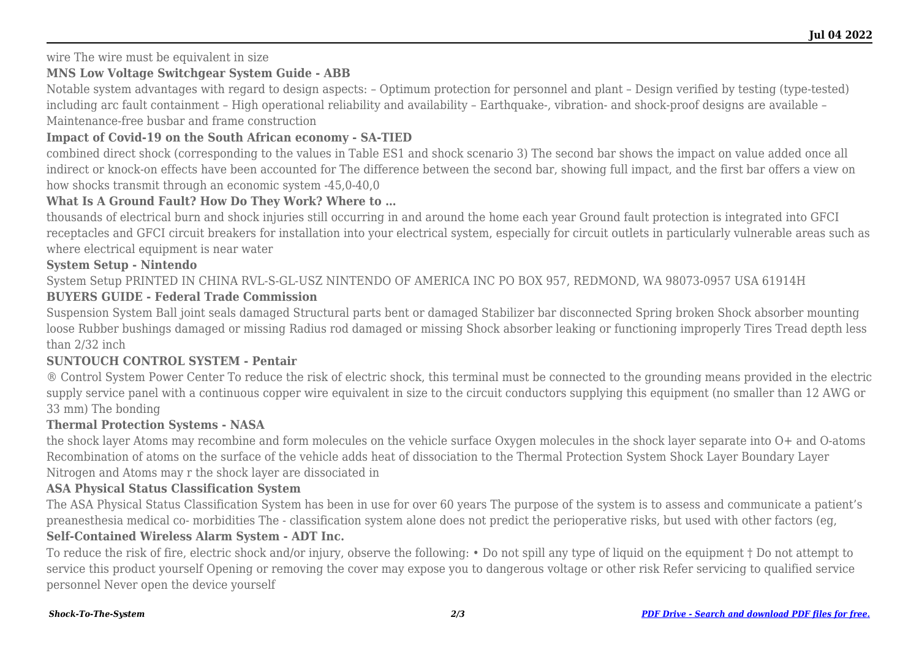wire The wire must be equivalent in size

## **MNS Low Voltage Switchgear System Guide - ABB**

Notable system advantages with regard to design aspects: – Optimum protection for personnel and plant – Design verified by testing (type-tested) including arc fault containment – High operational reliability and availability – Earthquake-, vibration- and shock-proof designs are available – Maintenance-free busbar and frame construction

## **Impact of Covid-19 on the South African economy - SA-TIED**

combined direct shock (corresponding to the values in Table ES1 and shock scenario 3) The second bar shows the impact on value added once all indirect or knock-on effects have been accounted for The difference between the second bar, showing full impact, and the first bar offers a view on how shocks transmit through an economic system  $-45.0-40.0$ 

## **What Is A Ground Fault? How Do They Work? Where to …**

thousands of electrical burn and shock injuries still occurring in and around the home each year Ground fault protection is integrated into GFCI receptacles and GFCI circuit breakers for installation into your electrical system, especially for circuit outlets in particularly vulnerable areas such as where electrical equipment is near water

# **System Setup - Nintendo**

System Setup PRINTED IN CHINA RVL-S-GL-USZ NINTENDO OF AMERICA INC PO BOX 957, REDMOND, WA 98073-0957 USA 61914H

# **BUYERS GUIDE - Federal Trade Commission**

Suspension System Ball joint seals damaged Structural parts bent or damaged Stabilizer bar disconnected Spring broken Shock absorber mounting loose Rubber bushings damaged or missing Radius rod damaged or missing Shock absorber leaking or functioning improperly Tires Tread depth less than 2/32 inch

## **SUNTOUCH CONTROL SYSTEM - Pentair**

® Control System Power Center To reduce the risk of electric shock, this terminal must be connected to the grounding means provided in the electric supply service panel with a continuous copper wire equivalent in size to the circuit conductors supplying this equipment (no smaller than 12 AWG or 33 mm) The bonding

## **Thermal Protection Systems - NASA**

the shock layer Atoms may recombine and form molecules on the vehicle surface Oxygen molecules in the shock layer separate into O+ and O-atoms Recombination of atoms on the surface of the vehicle adds heat of dissociation to the Thermal Protection System Shock Layer Boundary Layer Nitrogen and Atoms may r the shock layer are dissociated in

## **ASA Physical Status Classification System**

The ASA Physical Status Classification System has been in use for over 60 years The purpose of the system is to assess and communicate a patient's preanesthesia medical co- morbidities The - classification system alone does not predict the perioperative risks, but used with other factors (eg,

## **Self-Contained Wireless Alarm System - ADT Inc.**

To reduce the risk of fire, electric shock and/or injury, observe the following: • Do not spill any type of liquid on the equipment † Do not attempt to service this product yourself Opening or removing the cover may expose you to dangerous voltage or other risk Refer servicing to qualified service personnel Never open the device yourself